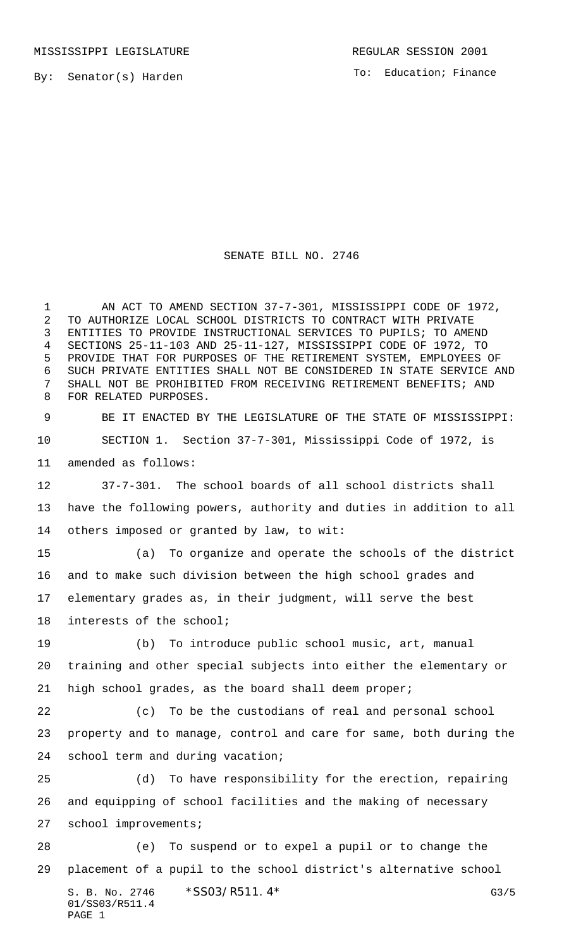To: Education; Finance

## SENATE BILL NO. 2746

 AN ACT TO AMEND SECTION 37-7-301, MISSISSIPPI CODE OF 1972, TO AUTHORIZE LOCAL SCHOOL DISTRICTS TO CONTRACT WITH PRIVATE ENTITIES TO PROVIDE INSTRUCTIONAL SERVICES TO PUPILS; TO AMEND SECTIONS 25-11-103 AND 25-11-127, MISSISSIPPI CODE OF 1972, TO PROVIDE THAT FOR PURPOSES OF THE RETIREMENT SYSTEM, EMPLOYEES OF SUCH PRIVATE ENTITIES SHALL NOT BE CONSIDERED IN STATE SERVICE AND SHALL NOT BE PROHIBITED FROM RECEIVING RETIREMENT BENEFITS; AND FOR RELATED PURPOSES.

 BE IT ENACTED BY THE LEGISLATURE OF THE STATE OF MISSISSIPPI: SECTION 1. Section 37-7-301, Mississippi Code of 1972, is amended as follows:

 37-7-301. The school boards of all school districts shall have the following powers, authority and duties in addition to all others imposed or granted by law, to wit:

 (a) To organize and operate the schools of the district and to make such division between the high school grades and elementary grades as, in their judgment, will serve the best interests of the school;

 (b) To introduce public school music, art, manual training and other special subjects into either the elementary or high school grades, as the board shall deem proper;

 (c) To be the custodians of real and personal school property and to manage, control and care for same, both during the

school term and during vacation;

 (d) To have responsibility for the erection, repairing and equipping of school facilities and the making of necessary school improvements;

S. B. No. 2746 \* SSO3/R511.4\* G3/5 (e) To suspend or to expel a pupil or to change the placement of a pupil to the school district's alternative school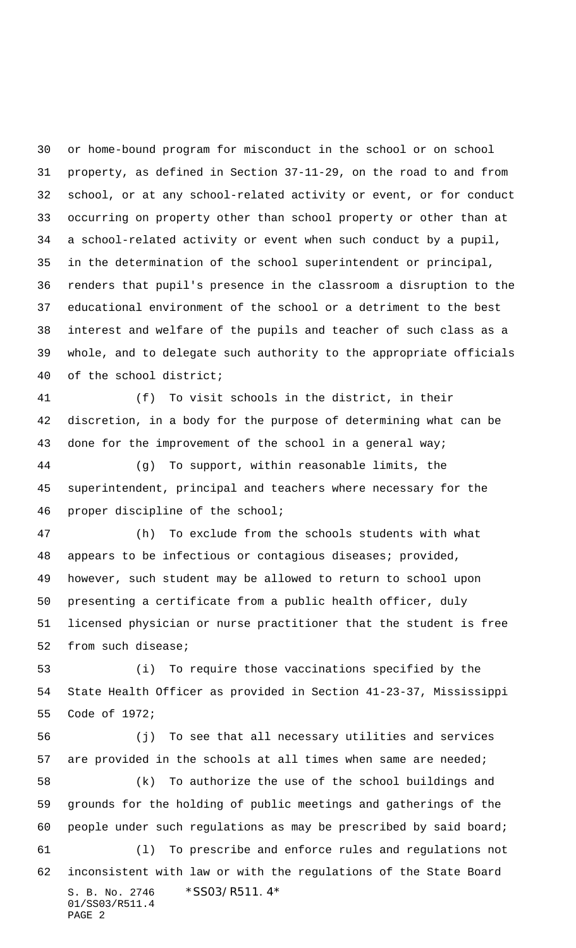or home-bound program for misconduct in the school or on school property, as defined in Section 37-11-29, on the road to and from school, or at any school-related activity or event, or for conduct occurring on property other than school property or other than at a school-related activity or event when such conduct by a pupil, in the determination of the school superintendent or principal, renders that pupil's presence in the classroom a disruption to the educational environment of the school or a detriment to the best interest and welfare of the pupils and teacher of such class as a whole, and to delegate such authority to the appropriate officials of the school district;

 (f) To visit schools in the district, in their discretion, in a body for the purpose of determining what can be 43 done for the improvement of the school in a general way;

 (g) To support, within reasonable limits, the superintendent, principal and teachers where necessary for the proper discipline of the school;

 (h) To exclude from the schools students with what appears to be infectious or contagious diseases; provided, however, such student may be allowed to return to school upon presenting a certificate from a public health officer, duly licensed physician or nurse practitioner that the student is free from such disease;

 (i) To require those vaccinations specified by the State Health Officer as provided in Section 41-23-37, Mississippi Code of 1972;

 (j) To see that all necessary utilities and services are provided in the schools at all times when same are needed;

 (k) To authorize the use of the school buildings and grounds for the holding of public meetings and gatherings of the people under such regulations as may be prescribed by said board;

S. B. No. 2746 \*SS03/R511.4\* 01/SS03/R511.4 PAGE 2 (l) To prescribe and enforce rules and regulations not inconsistent with law or with the regulations of the State Board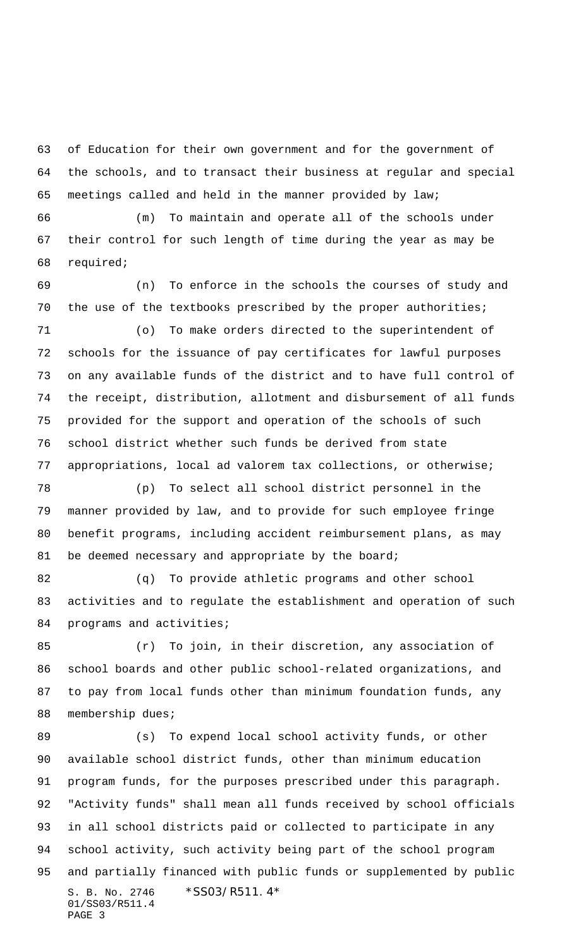of Education for their own government and for the government of the schools, and to transact their business at regular and special meetings called and held in the manner provided by law;

 (m) To maintain and operate all of the schools under their control for such length of time during the year as may be required;

 (n) To enforce in the schools the courses of study and the use of the textbooks prescribed by the proper authorities; (o) To make orders directed to the superintendent of schools for the issuance of pay certificates for lawful purposes on any available funds of the district and to have full control of the receipt, distribution, allotment and disbursement of all funds provided for the support and operation of the schools of such school district whether such funds be derived from state

appropriations, local ad valorem tax collections, or otherwise;

 (p) To select all school district personnel in the manner provided by law, and to provide for such employee fringe benefit programs, including accident reimbursement plans, as may 81 be deemed necessary and appropriate by the board;

 (q) To provide athletic programs and other school activities and to regulate the establishment and operation of such 84 programs and activities;

 (r) To join, in their discretion, any association of school boards and other public school-related organizations, and to pay from local funds other than minimum foundation funds, any 88 membership dues;

S. B. No. 2746 \* SS03/R511.4\* 01/SS03/R511.4 PAGE 3 89 (s) To expend local school activity funds, or other available school district funds, other than minimum education program funds, for the purposes prescribed under this paragraph. "Activity funds" shall mean all funds received by school officials in all school districts paid or collected to participate in any school activity, such activity being part of the school program and partially financed with public funds or supplemented by public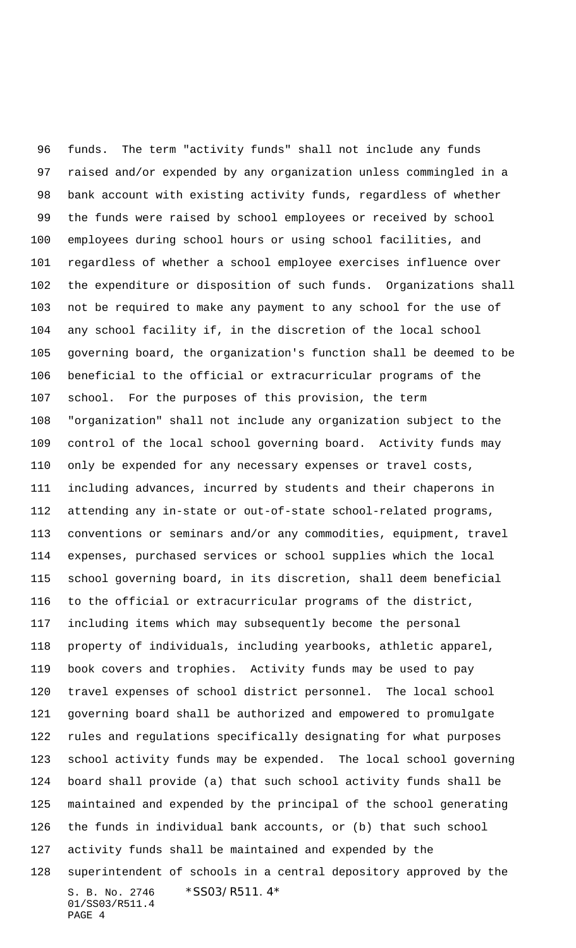S. B. No. 2746 \*SS03/R511.4\* 01/SS03/R511.4 PAGE 4 funds. The term "activity funds" shall not include any funds raised and/or expended by any organization unless commingled in a bank account with existing activity funds, regardless of whether the funds were raised by school employees or received by school employees during school hours or using school facilities, and regardless of whether a school employee exercises influence over the expenditure or disposition of such funds. Organizations shall not be required to make any payment to any school for the use of any school facility if, in the discretion of the local school governing board, the organization's function shall be deemed to be beneficial to the official or extracurricular programs of the school. For the purposes of this provision, the term "organization" shall not include any organization subject to the control of the local school governing board. Activity funds may only be expended for any necessary expenses or travel costs, including advances, incurred by students and their chaperons in attending any in-state or out-of-state school-related programs, conventions or seminars and/or any commodities, equipment, travel expenses, purchased services or school supplies which the local school governing board, in its discretion, shall deem beneficial to the official or extracurricular programs of the district, including items which may subsequently become the personal property of individuals, including yearbooks, athletic apparel, book covers and trophies. Activity funds may be used to pay travel expenses of school district personnel. The local school governing board shall be authorized and empowered to promulgate rules and regulations specifically designating for what purposes school activity funds may be expended. The local school governing board shall provide (a) that such school activity funds shall be maintained and expended by the principal of the school generating the funds in individual bank accounts, or (b) that such school activity funds shall be maintained and expended by the superintendent of schools in a central depository approved by the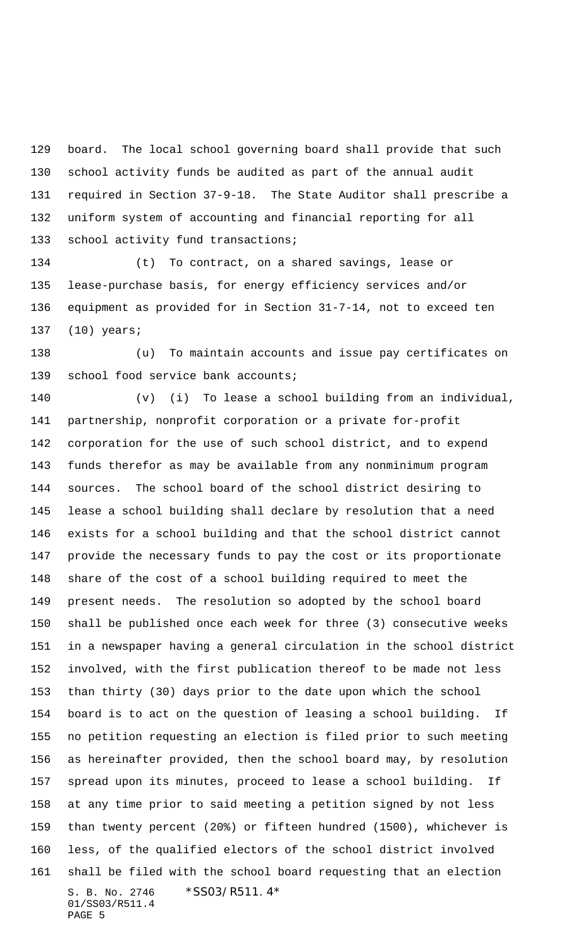board. The local school governing board shall provide that such school activity funds be audited as part of the annual audit required in Section 37-9-18. The State Auditor shall prescribe a uniform system of accounting and financial reporting for all school activity fund transactions;

 (t) To contract, on a shared savings, lease or lease-purchase basis, for energy efficiency services and/or equipment as provided for in Section 31-7-14, not to exceed ten (10) years;

 (u) To maintain accounts and issue pay certificates on 139 school food service bank accounts;

S. B. No. 2746 \*SS03/R511.4\* 01/SS03/R511.4 PAGE 5 (v) (i) To lease a school building from an individual, partnership, nonprofit corporation or a private for-profit corporation for the use of such school district, and to expend funds therefor as may be available from any nonminimum program sources. The school board of the school district desiring to lease a school building shall declare by resolution that a need exists for a school building and that the school district cannot provide the necessary funds to pay the cost or its proportionate share of the cost of a school building required to meet the present needs. The resolution so adopted by the school board shall be published once each week for three (3) consecutive weeks in a newspaper having a general circulation in the school district involved, with the first publication thereof to be made not less than thirty (30) days prior to the date upon which the school board is to act on the question of leasing a school building. If no petition requesting an election is filed prior to such meeting as hereinafter provided, then the school board may, by resolution spread upon its minutes, proceed to lease a school building. If at any time prior to said meeting a petition signed by not less than twenty percent (20%) or fifteen hundred (1500), whichever is less, of the qualified electors of the school district involved shall be filed with the school board requesting that an election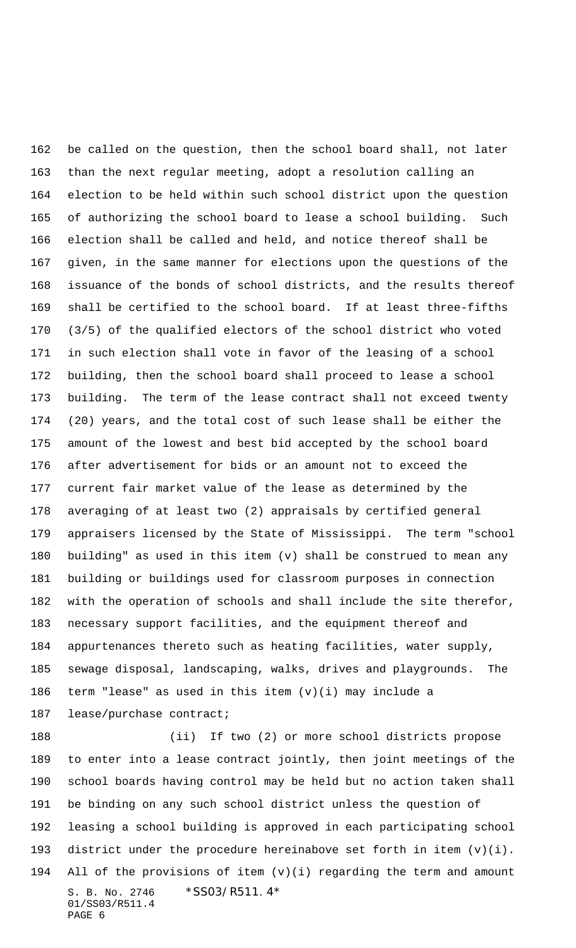be called on the question, then the school board shall, not later than the next regular meeting, adopt a resolution calling an election to be held within such school district upon the question of authorizing the school board to lease a school building. Such election shall be called and held, and notice thereof shall be given, in the same manner for elections upon the questions of the issuance of the bonds of school districts, and the results thereof shall be certified to the school board. If at least three-fifths (3/5) of the qualified electors of the school district who voted in such election shall vote in favor of the leasing of a school building, then the school board shall proceed to lease a school building. The term of the lease contract shall not exceed twenty (20) years, and the total cost of such lease shall be either the amount of the lowest and best bid accepted by the school board after advertisement for bids or an amount not to exceed the current fair market value of the lease as determined by the averaging of at least two (2) appraisals by certified general appraisers licensed by the State of Mississippi. The term "school building" as used in this item (v) shall be construed to mean any building or buildings used for classroom purposes in connection with the operation of schools and shall include the site therefor, necessary support facilities, and the equipment thereof and appurtenances thereto such as heating facilities, water supply, sewage disposal, landscaping, walks, drives and playgrounds. The term "lease" as used in this item (v)(i) may include a lease/purchase contract;

S. B. No. 2746 \*SS03/R511.4\* 01/SS03/R511.4 PAGE 6 (ii) If two (2) or more school districts propose to enter into a lease contract jointly, then joint meetings of the school boards having control may be held but no action taken shall be binding on any such school district unless the question of leasing a school building is approved in each participating school district under the procedure hereinabove set forth in item (v)(i). All of the provisions of item (v)(i) regarding the term and amount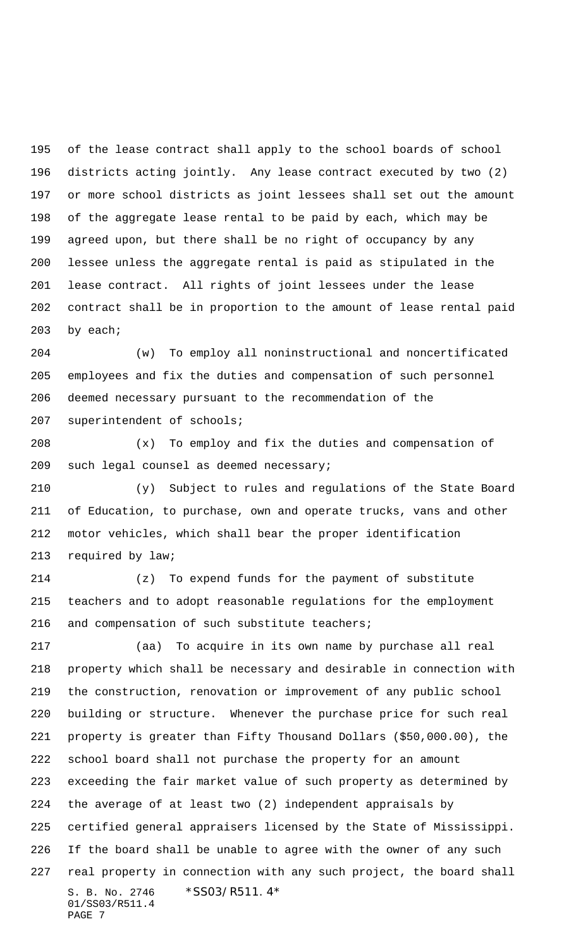of the lease contract shall apply to the school boards of school districts acting jointly. Any lease contract executed by two (2) or more school districts as joint lessees shall set out the amount of the aggregate lease rental to be paid by each, which may be agreed upon, but there shall be no right of occupancy by any lessee unless the aggregate rental is paid as stipulated in the lease contract. All rights of joint lessees under the lease contract shall be in proportion to the amount of lease rental paid by each;

 (w) To employ all noninstructional and noncertificated employees and fix the duties and compensation of such personnel deemed necessary pursuant to the recommendation of the superintendent of schools;

 (x) To employ and fix the duties and compensation of such legal counsel as deemed necessary;

 (y) Subject to rules and regulations of the State Board of Education, to purchase, own and operate trucks, vans and other motor vehicles, which shall bear the proper identification required by law;

 (z) To expend funds for the payment of substitute teachers and to adopt reasonable regulations for the employment and compensation of such substitute teachers;

S. B. No. 2746 \*SS03/R511.4\* 01/SS03/R511.4 PAGE 7 (aa) To acquire in its own name by purchase all real property which shall be necessary and desirable in connection with the construction, renovation or improvement of any public school building or structure. Whenever the purchase price for such real property is greater than Fifty Thousand Dollars (\$50,000.00), the school board shall not purchase the property for an amount exceeding the fair market value of such property as determined by the average of at least two (2) independent appraisals by certified general appraisers licensed by the State of Mississippi. If the board shall be unable to agree with the owner of any such real property in connection with any such project, the board shall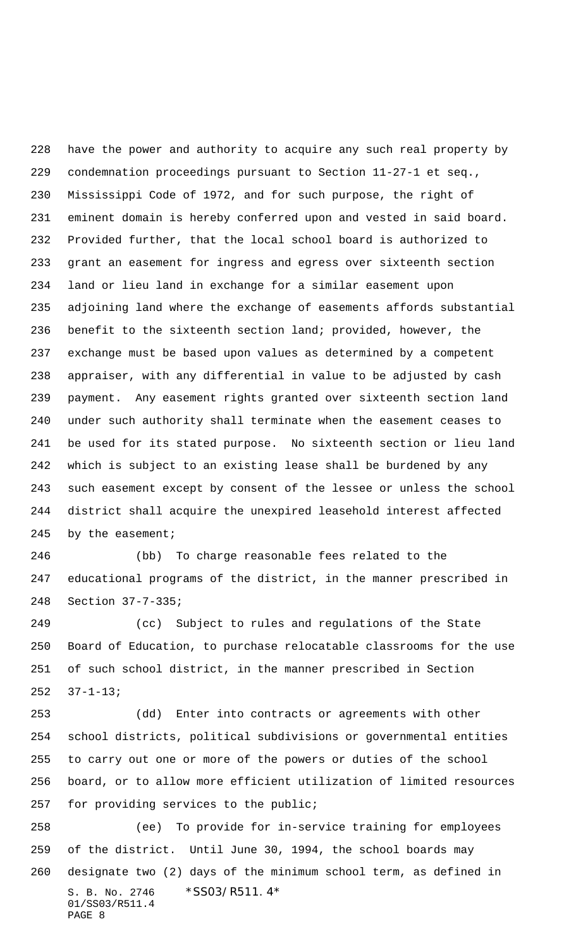have the power and authority to acquire any such real property by condemnation proceedings pursuant to Section 11-27-1 et seq., Mississippi Code of 1972, and for such purpose, the right of eminent domain is hereby conferred upon and vested in said board. Provided further, that the local school board is authorized to grant an easement for ingress and egress over sixteenth section land or lieu land in exchange for a similar easement upon adjoining land where the exchange of easements affords substantial benefit to the sixteenth section land; provided, however, the exchange must be based upon values as determined by a competent appraiser, with any differential in value to be adjusted by cash payment. Any easement rights granted over sixteenth section land under such authority shall terminate when the easement ceases to be used for its stated purpose. No sixteenth section or lieu land which is subject to an existing lease shall be burdened by any such easement except by consent of the lessee or unless the school district shall acquire the unexpired leasehold interest affected 245 by the easement;

 (bb) To charge reasonable fees related to the educational programs of the district, in the manner prescribed in Section 37-7-335;

 (cc) Subject to rules and regulations of the State Board of Education, to purchase relocatable classrooms for the use of such school district, in the manner prescribed in Section 37-1-13;

 (dd) Enter into contracts or agreements with other school districts, political subdivisions or governmental entities to carry out one or more of the powers or duties of the school board, or to allow more efficient utilization of limited resources for providing services to the public;

S. B. No. 2746 \*SS03/R511.4\* 01/SS03/R511.4 PAGE 8 (ee) To provide for in-service training for employees of the district. Until June 30, 1994, the school boards may designate two (2) days of the minimum school term, as defined in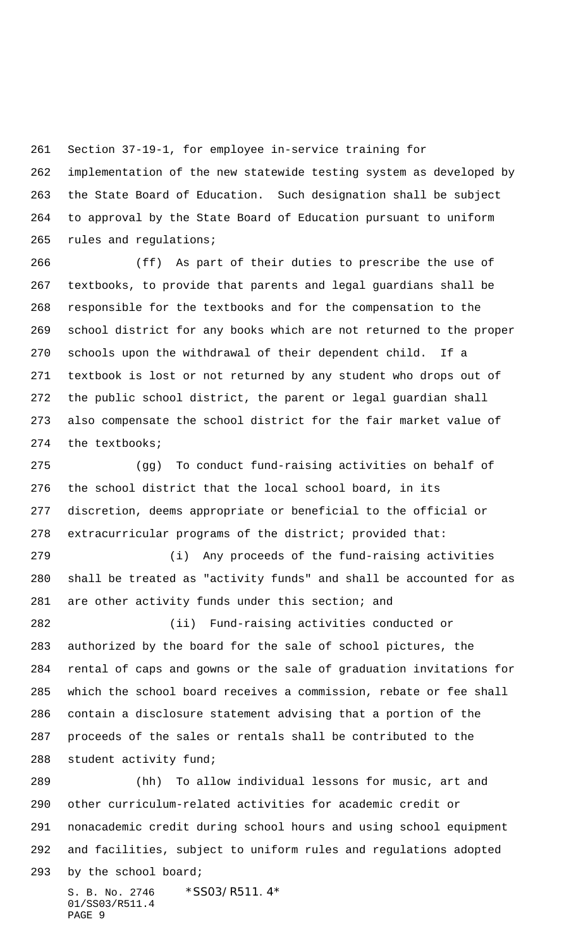Section 37-19-1, for employee in-service training for implementation of the new statewide testing system as developed by the State Board of Education. Such designation shall be subject to approval by the State Board of Education pursuant to uniform rules and regulations;

 (ff) As part of their duties to prescribe the use of textbooks, to provide that parents and legal guardians shall be responsible for the textbooks and for the compensation to the school district for any books which are not returned to the proper schools upon the withdrawal of their dependent child. If a textbook is lost or not returned by any student who drops out of the public school district, the parent or legal guardian shall also compensate the school district for the fair market value of the textbooks;

 (gg) To conduct fund-raising activities on behalf of the school district that the local school board, in its discretion, deems appropriate or beneficial to the official or extracurricular programs of the district; provided that:

 (i) Any proceeds of the fund-raising activities shall be treated as "activity funds" and shall be accounted for as are other activity funds under this section; and

 (ii) Fund-raising activities conducted or authorized by the board for the sale of school pictures, the rental of caps and gowns or the sale of graduation invitations for which the school board receives a commission, rebate or fee shall contain a disclosure statement advising that a portion of the proceeds of the sales or rentals shall be contributed to the student activity fund;

S. B. No. 2746 \*SS03/R511.4\* (hh) To allow individual lessons for music, art and other curriculum-related activities for academic credit or nonacademic credit during school hours and using school equipment and facilities, subject to uniform rules and regulations adopted by the school board;

01/SS03/R511.4 PAGE 9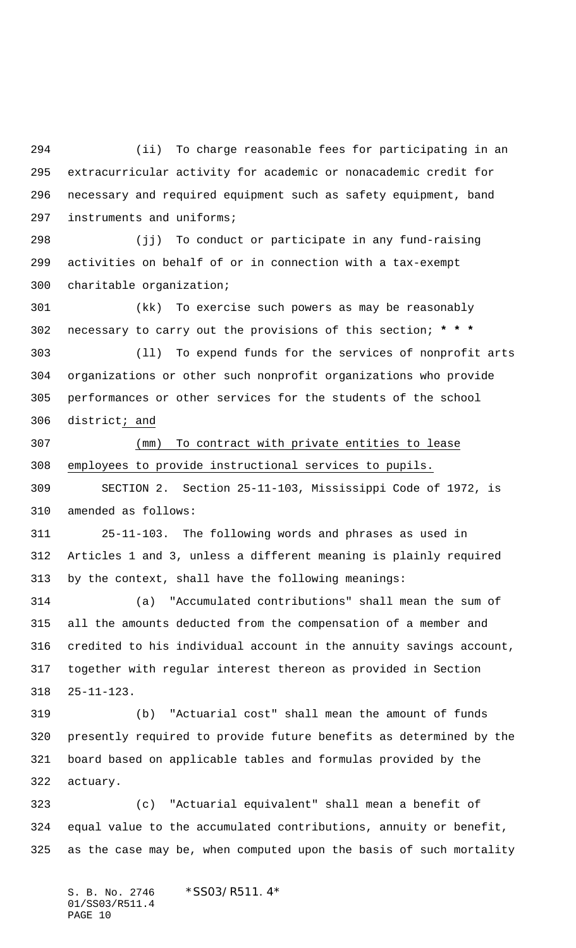(ii) To charge reasonable fees for participating in an extracurricular activity for academic or nonacademic credit for necessary and required equipment such as safety equipment, band instruments and uniforms;

 (jj) To conduct or participate in any fund-raising activities on behalf of or in connection with a tax-exempt charitable organization;

 (kk) To exercise such powers as may be reasonably necessary to carry out the provisions of this section; **\* \* \***

 (ll) To expend funds for the services of nonprofit arts organizations or other such nonprofit organizations who provide performances or other services for the students of the school district; and

 (mm) To contract with private entities to lease employees to provide instructional services to pupils.

 SECTION 2. Section 25-11-103, Mississippi Code of 1972, is amended as follows:

 25-11-103. The following words and phrases as used in Articles 1 and 3, unless a different meaning is plainly required by the context, shall have the following meanings:

 (a) "Accumulated contributions" shall mean the sum of all the amounts deducted from the compensation of a member and credited to his individual account in the annuity savings account, together with regular interest thereon as provided in Section 25-11-123.

 (b) "Actuarial cost" shall mean the amount of funds presently required to provide future benefits as determined by the board based on applicable tables and formulas provided by the actuary.

 (c) "Actuarial equivalent" shall mean a benefit of equal value to the accumulated contributions, annuity or benefit, as the case may be, when computed upon the basis of such mortality

S. B. No. 2746 \* SS03/R511.4\* 01/SS03/R511.4 PAGE 10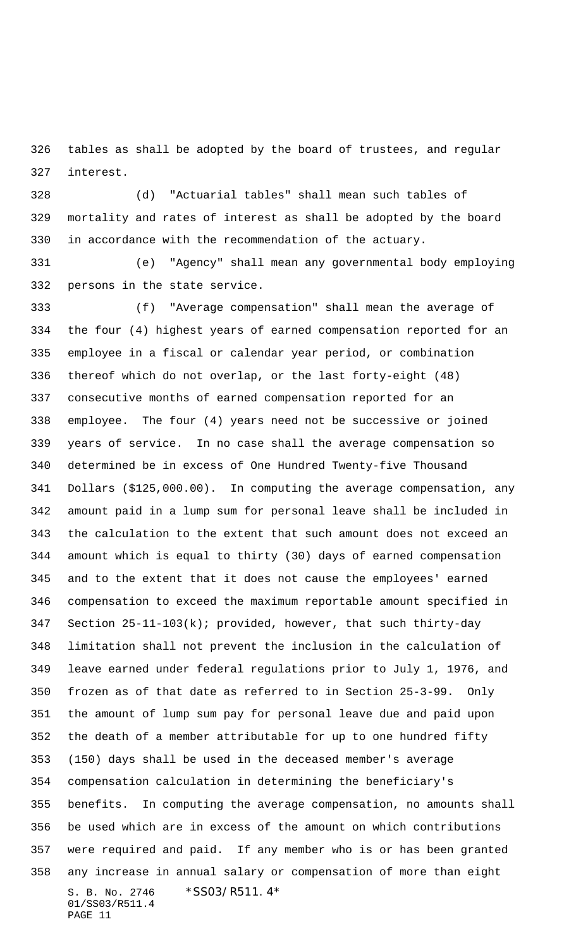tables as shall be adopted by the board of trustees, and regular interest.

 (d) "Actuarial tables" shall mean such tables of mortality and rates of interest as shall be adopted by the board in accordance with the recommendation of the actuary.

 (e) "Agency" shall mean any governmental body employing persons in the state service.

S. B. No. 2746 \* SS03/R511.4\* 01/SS03/R511.4 PAGE 11 (f) "Average compensation" shall mean the average of the four (4) highest years of earned compensation reported for an employee in a fiscal or calendar year period, or combination thereof which do not overlap, or the last forty-eight (48) consecutive months of earned compensation reported for an employee. The four (4) years need not be successive or joined years of service. In no case shall the average compensation so determined be in excess of One Hundred Twenty-five Thousand Dollars (\$125,000.00). In computing the average compensation, any amount paid in a lump sum for personal leave shall be included in the calculation to the extent that such amount does not exceed an amount which is equal to thirty (30) days of earned compensation and to the extent that it does not cause the employees' earned compensation to exceed the maximum reportable amount specified in Section 25-11-103(k); provided, however, that such thirty-day limitation shall not prevent the inclusion in the calculation of leave earned under federal regulations prior to July 1, 1976, and frozen as of that date as referred to in Section 25-3-99. Only the amount of lump sum pay for personal leave due and paid upon the death of a member attributable for up to one hundred fifty (150) days shall be used in the deceased member's average compensation calculation in determining the beneficiary's benefits. In computing the average compensation, no amounts shall be used which are in excess of the amount on which contributions were required and paid. If any member who is or has been granted any increase in annual salary or compensation of more than eight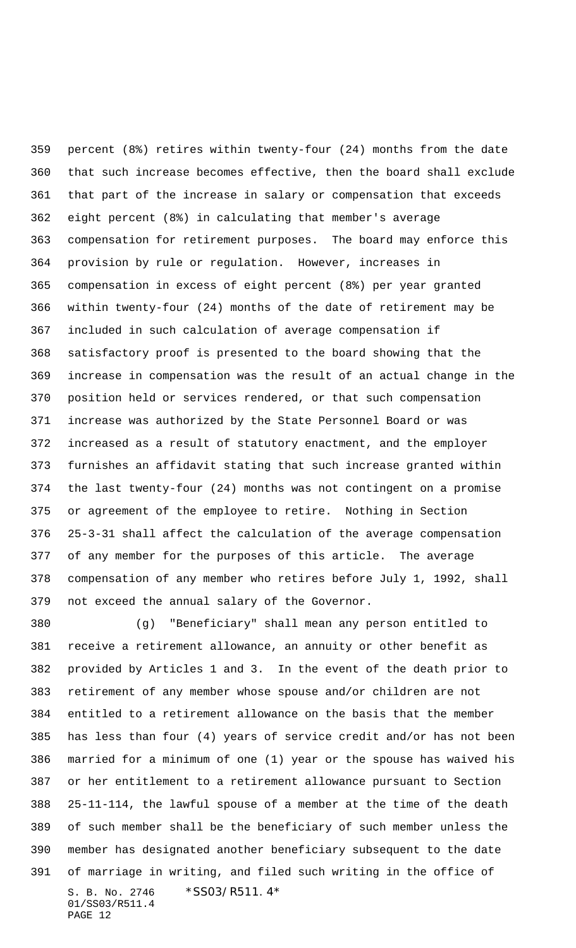percent (8%) retires within twenty-four (24) months from the date that such increase becomes effective, then the board shall exclude that part of the increase in salary or compensation that exceeds eight percent (8%) in calculating that member's average compensation for retirement purposes. The board may enforce this provision by rule or regulation. However, increases in compensation in excess of eight percent (8%) per year granted within twenty-four (24) months of the date of retirement may be included in such calculation of average compensation if satisfactory proof is presented to the board showing that the increase in compensation was the result of an actual change in the position held or services rendered, or that such compensation increase was authorized by the State Personnel Board or was increased as a result of statutory enactment, and the employer furnishes an affidavit stating that such increase granted within the last twenty-four (24) months was not contingent on a promise or agreement of the employee to retire. Nothing in Section 25-3-31 shall affect the calculation of the average compensation of any member for the purposes of this article. The average compensation of any member who retires before July 1, 1992, shall not exceed the annual salary of the Governor.

S. B. No. 2746 \*SS03/R511.4\* 01/SS03/R511.4 PAGE 12 (g) "Beneficiary" shall mean any person entitled to receive a retirement allowance, an annuity or other benefit as provided by Articles 1 and 3. In the event of the death prior to retirement of any member whose spouse and/or children are not entitled to a retirement allowance on the basis that the member has less than four (4) years of service credit and/or has not been married for a minimum of one (1) year or the spouse has waived his or her entitlement to a retirement allowance pursuant to Section 25-11-114, the lawful spouse of a member at the time of the death of such member shall be the beneficiary of such member unless the member has designated another beneficiary subsequent to the date of marriage in writing, and filed such writing in the office of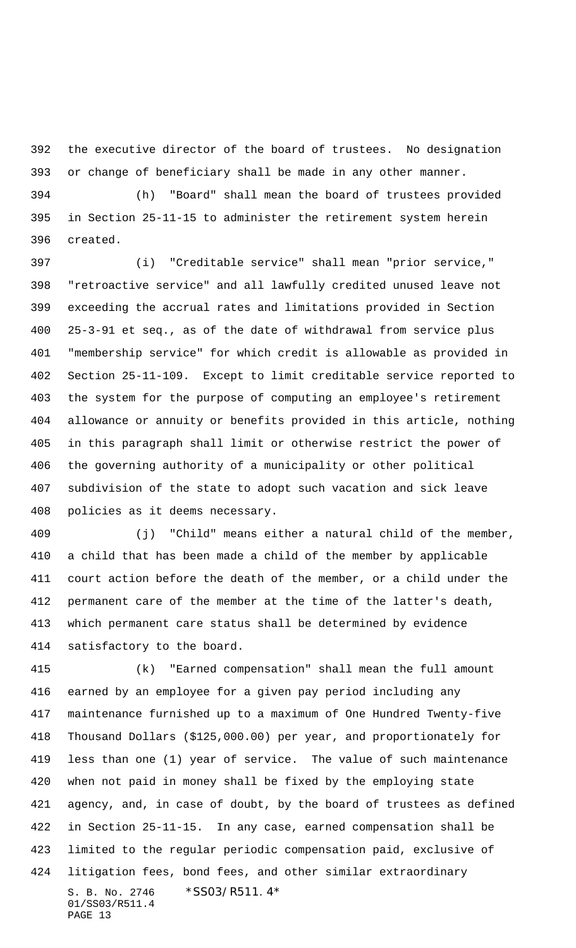the executive director of the board of trustees. No designation or change of beneficiary shall be made in any other manner.

 (h) "Board" shall mean the board of trustees provided in Section 25-11-15 to administer the retirement system herein created.

 (i) "Creditable service" shall mean "prior service," "retroactive service" and all lawfully credited unused leave not exceeding the accrual rates and limitations provided in Section 25-3-91 et seq., as of the date of withdrawal from service plus "membership service" for which credit is allowable as provided in Section 25-11-109. Except to limit creditable service reported to the system for the purpose of computing an employee's retirement allowance or annuity or benefits provided in this article, nothing in this paragraph shall limit or otherwise restrict the power of the governing authority of a municipality or other political subdivision of the state to adopt such vacation and sick leave policies as it deems necessary.

 (j) "Child" means either a natural child of the member, a child that has been made a child of the member by applicable court action before the death of the member, or a child under the permanent care of the member at the time of the latter's death, which permanent care status shall be determined by evidence satisfactory to the board.

S. B. No. 2746 \*SS03/R511.4\* 01/SS03/R511.4 PAGE 13 (k) "Earned compensation" shall mean the full amount earned by an employee for a given pay period including any maintenance furnished up to a maximum of One Hundred Twenty-five Thousand Dollars (\$125,000.00) per year, and proportionately for less than one (1) year of service. The value of such maintenance when not paid in money shall be fixed by the employing state agency, and, in case of doubt, by the board of trustees as defined in Section 25-11-15. In any case, earned compensation shall be limited to the regular periodic compensation paid, exclusive of litigation fees, bond fees, and other similar extraordinary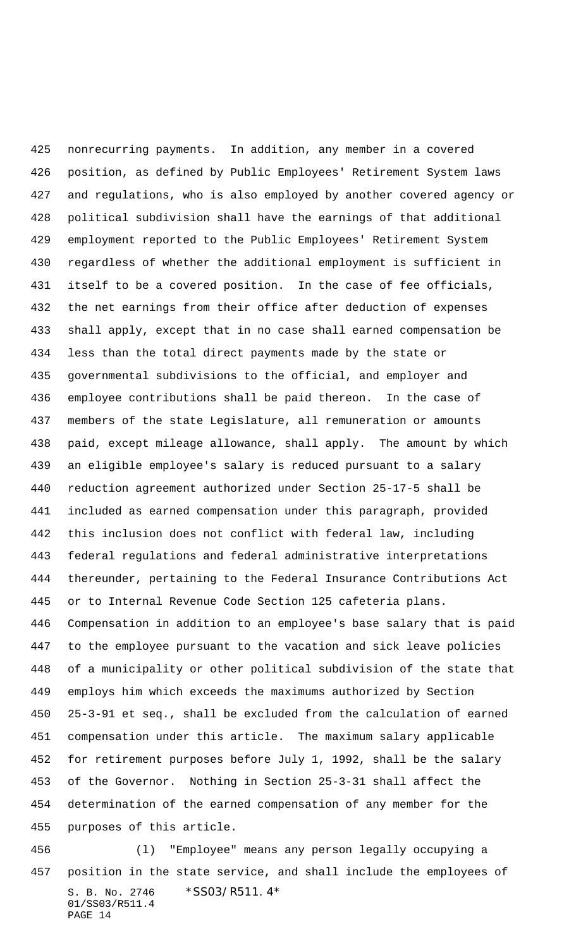nonrecurring payments. In addition, any member in a covered position, as defined by Public Employees' Retirement System laws and regulations, who is also employed by another covered agency or political subdivision shall have the earnings of that additional employment reported to the Public Employees' Retirement System regardless of whether the additional employment is sufficient in itself to be a covered position. In the case of fee officials, the net earnings from their office after deduction of expenses shall apply, except that in no case shall earned compensation be less than the total direct payments made by the state or governmental subdivisions to the official, and employer and employee contributions shall be paid thereon. In the case of members of the state Legislature, all remuneration or amounts paid, except mileage allowance, shall apply. The amount by which an eligible employee's salary is reduced pursuant to a salary reduction agreement authorized under Section 25-17-5 shall be included as earned compensation under this paragraph, provided this inclusion does not conflict with federal law, including federal regulations and federal administrative interpretations thereunder, pertaining to the Federal Insurance Contributions Act or to Internal Revenue Code Section 125 cafeteria plans. Compensation in addition to an employee's base salary that is paid to the employee pursuant to the vacation and sick leave policies of a municipality or other political subdivision of the state that employs him which exceeds the maximums authorized by Section 25-3-91 et seq., shall be excluded from the calculation of earned compensation under this article. The maximum salary applicable for retirement purposes before July 1, 1992, shall be the salary of the Governor. Nothing in Section 25-3-31 shall affect the determination of the earned compensation of any member for the purposes of this article.

S. B. No. 2746 \*SS03/R511.4\* 01/SS03/R511.4 PAGE 14 (l) "Employee" means any person legally occupying a position in the state service, and shall include the employees of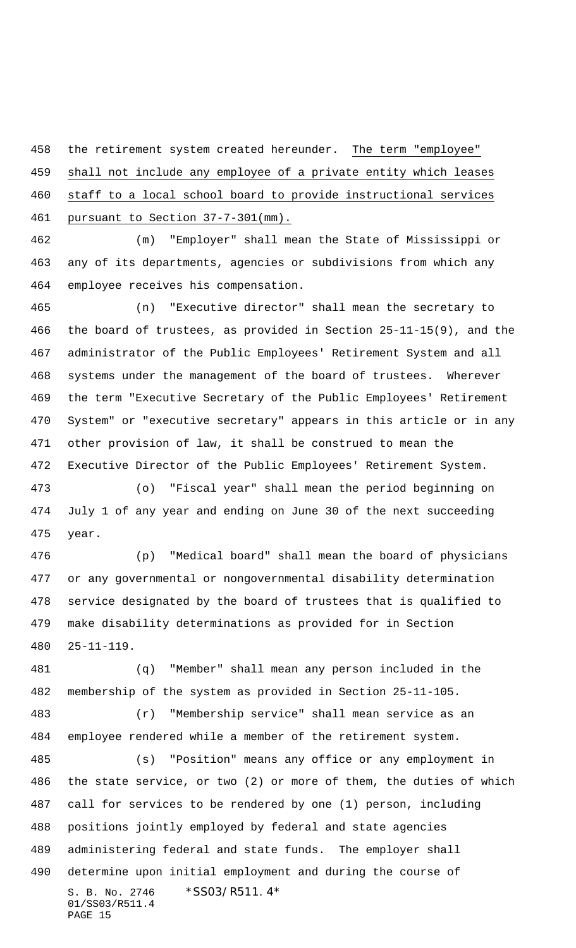the retirement system created hereunder. The term "employee" shall not include any employee of a private entity which leases staff to a local school board to provide instructional services pursuant to Section 37-7-301(mm).

 (m) "Employer" shall mean the State of Mississippi or any of its departments, agencies or subdivisions from which any employee receives his compensation.

 (n) "Executive director" shall mean the secretary to the board of trustees, as provided in Section 25-11-15(9), and the administrator of the Public Employees' Retirement System and all systems under the management of the board of trustees. Wherever the term "Executive Secretary of the Public Employees' Retirement System" or "executive secretary" appears in this article or in any other provision of law, it shall be construed to mean the Executive Director of the Public Employees' Retirement System.

 (o) "Fiscal year" shall mean the period beginning on July 1 of any year and ending on June 30 of the next succeeding year.

 (p) "Medical board" shall mean the board of physicians or any governmental or nongovernmental disability determination service designated by the board of trustees that is qualified to make disability determinations as provided for in Section 25-11-119.

 (q) "Member" shall mean any person included in the membership of the system as provided in Section 25-11-105.

 (r) "Membership service" shall mean service as an employee rendered while a member of the retirement system.

S. B. No. 2746 \*SS03/R511.4\* 01/SS03/R511.4 PAGE 15 (s) "Position" means any office or any employment in the state service, or two (2) or more of them, the duties of which call for services to be rendered by one (1) person, including positions jointly employed by federal and state agencies administering federal and state funds. The employer shall determine upon initial employment and during the course of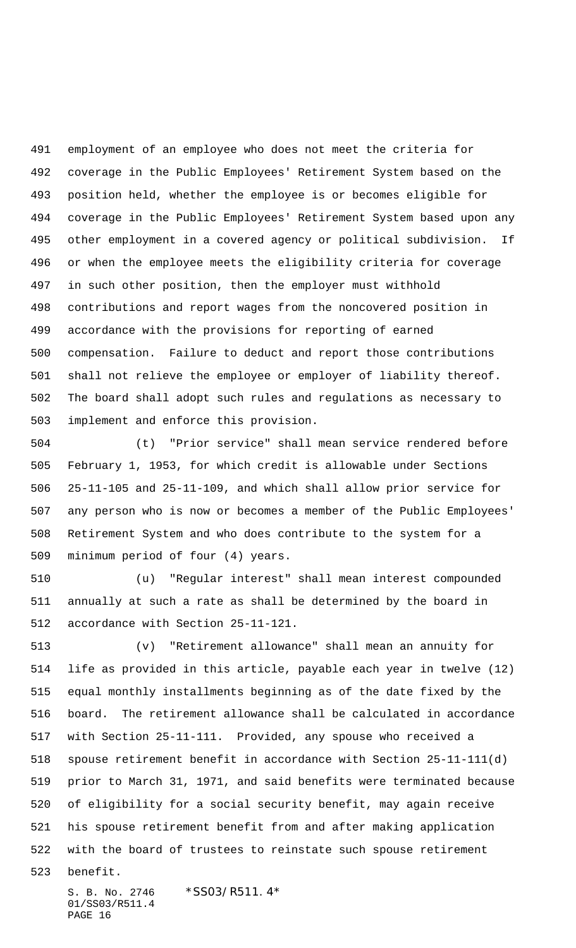employment of an employee who does not meet the criteria for coverage in the Public Employees' Retirement System based on the position held, whether the employee is or becomes eligible for coverage in the Public Employees' Retirement System based upon any other employment in a covered agency or political subdivision. If or when the employee meets the eligibility criteria for coverage in such other position, then the employer must withhold contributions and report wages from the noncovered position in accordance with the provisions for reporting of earned compensation. Failure to deduct and report those contributions shall not relieve the employee or employer of liability thereof. The board shall adopt such rules and regulations as necessary to implement and enforce this provision.

 (t) "Prior service" shall mean service rendered before February 1, 1953, for which credit is allowable under Sections 25-11-105 and 25-11-109, and which shall allow prior service for any person who is now or becomes a member of the Public Employees' Retirement System and who does contribute to the system for a minimum period of four (4) years.

 (u) "Regular interest" shall mean interest compounded annually at such a rate as shall be determined by the board in accordance with Section 25-11-121.

 (v) "Retirement allowance" shall mean an annuity for life as provided in this article, payable each year in twelve (12) equal monthly installments beginning as of the date fixed by the board. The retirement allowance shall be calculated in accordance with Section 25-11-111. Provided, any spouse who received a spouse retirement benefit in accordance with Section 25-11-111(d) prior to March 31, 1971, and said benefits were terminated because of eligibility for a social security benefit, may again receive his spouse retirement benefit from and after making application with the board of trustees to reinstate such spouse retirement

benefit.

S. B. No. 2746 \* SS03/R511.4\* 01/SS03/R511.4 PAGE 16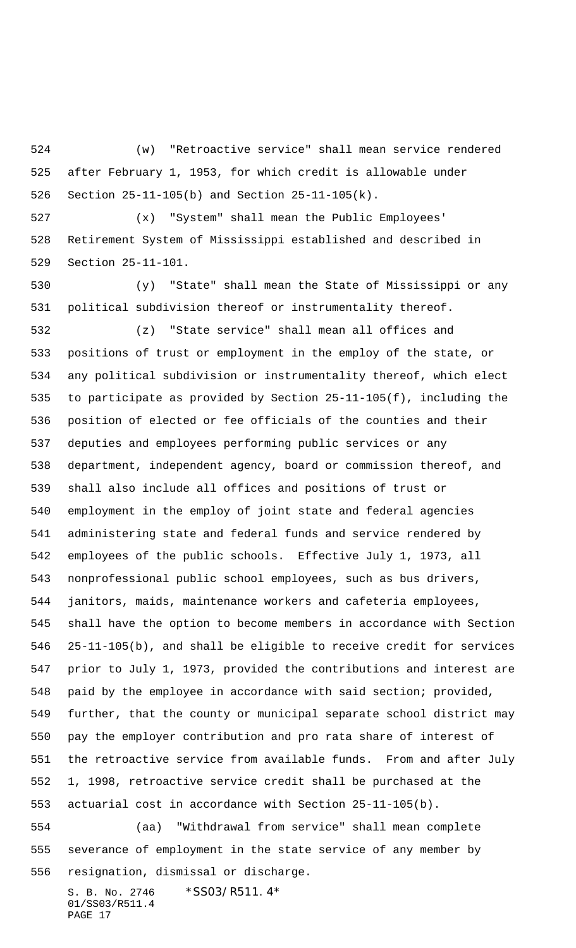(w) "Retroactive service" shall mean service rendered after February 1, 1953, for which credit is allowable under Section 25-11-105(b) and Section 25-11-105(k).

 (x) "System" shall mean the Public Employees' Retirement System of Mississippi established and described in Section 25-11-101.

 (y) "State" shall mean the State of Mississippi or any political subdivision thereof or instrumentality thereof.

 (z) "State service" shall mean all offices and positions of trust or employment in the employ of the state, or any political subdivision or instrumentality thereof, which elect to participate as provided by Section 25-11-105(f), including the position of elected or fee officials of the counties and their deputies and employees performing public services or any department, independent agency, board or commission thereof, and shall also include all offices and positions of trust or employment in the employ of joint state and federal agencies administering state and federal funds and service rendered by employees of the public schools. Effective July 1, 1973, all nonprofessional public school employees, such as bus drivers, janitors, maids, maintenance workers and cafeteria employees, shall have the option to become members in accordance with Section 25-11-105(b), and shall be eligible to receive credit for services prior to July 1, 1973, provided the contributions and interest are paid by the employee in accordance with said section; provided, further, that the county or municipal separate school district may pay the employer contribution and pro rata share of interest of the retroactive service from available funds. From and after July 1, 1998, retroactive service credit shall be purchased at the actuarial cost in accordance with Section 25-11-105(b).

 (aa) "Withdrawal from service" shall mean complete severance of employment in the state service of any member by resignation, dismissal or discharge.

S. B. No. 2746 \* SS03/R511.4\* 01/SS03/R511.4 PAGE 17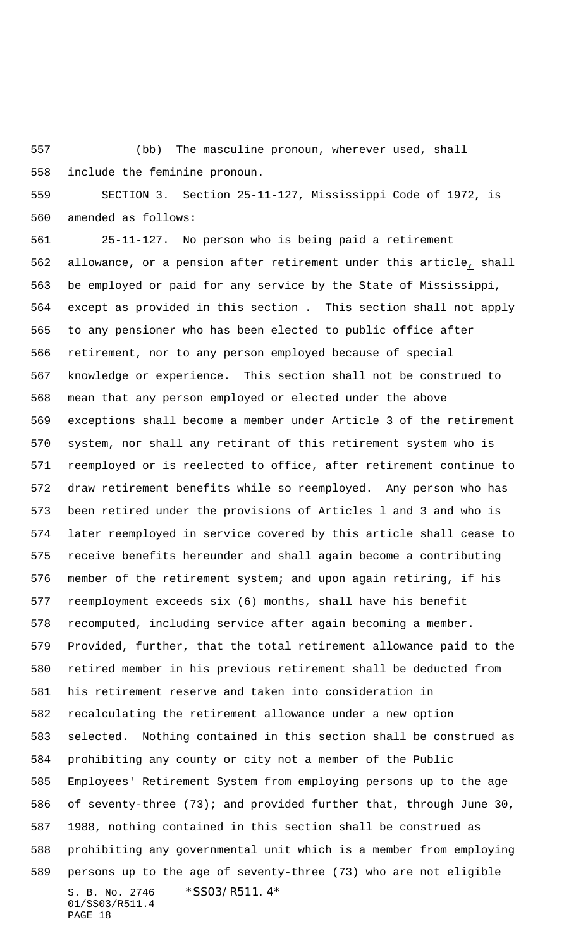(bb) The masculine pronoun, wherever used, shall include the feminine pronoun.

 SECTION 3. Section 25-11-127, Mississippi Code of 1972, is amended as follows:

S. B. No. 2746 \* SS03/R511.4\* 01/SS03/R511.4 PAGE 18 25-11-127. No person who is being paid a retirement allowance, or a pension after retirement under this article, shall be employed or paid for any service by the State of Mississippi, except as provided in this section . This section shall not apply to any pensioner who has been elected to public office after retirement, nor to any person employed because of special knowledge or experience. This section shall not be construed to mean that any person employed or elected under the above exceptions shall become a member under Article 3 of the retirement system, nor shall any retirant of this retirement system who is reemployed or is reelected to office, after retirement continue to draw retirement benefits while so reemployed. Any person who has been retired under the provisions of Articles l and 3 and who is later reemployed in service covered by this article shall cease to receive benefits hereunder and shall again become a contributing member of the retirement system; and upon again retiring, if his reemployment exceeds six (6) months, shall have his benefit recomputed, including service after again becoming a member. Provided, further, that the total retirement allowance paid to the retired member in his previous retirement shall be deducted from his retirement reserve and taken into consideration in recalculating the retirement allowance under a new option selected. Nothing contained in this section shall be construed as prohibiting any county or city not a member of the Public Employees' Retirement System from employing persons up to the age of seventy-three (73); and provided further that, through June 30, 1988, nothing contained in this section shall be construed as prohibiting any governmental unit which is a member from employing persons up to the age of seventy-three (73) who are not eligible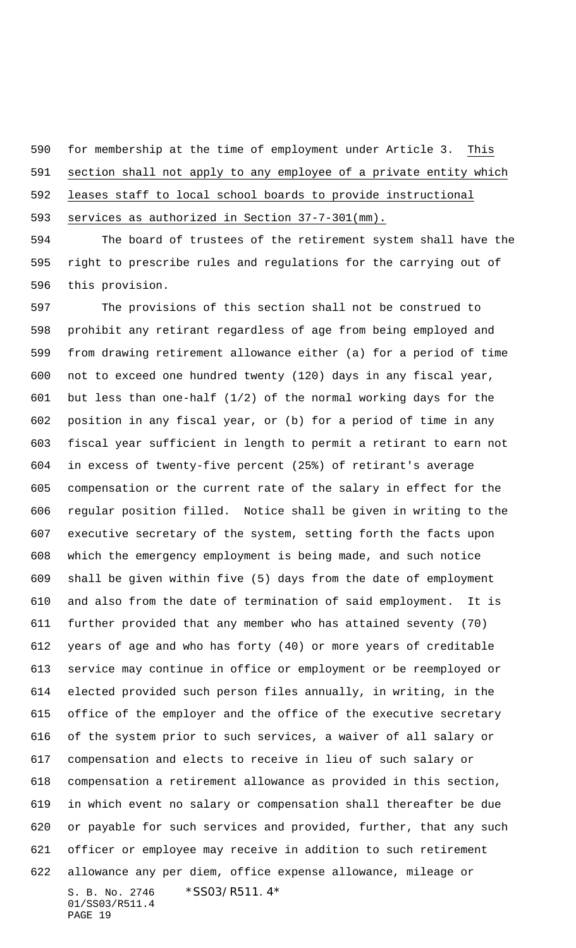for membership at the time of employment under Article 3. This section shall not apply to any employee of a private entity which leases staff to local school boards to provide instructional services as authorized in Section 37-7-301(mm).

 The board of trustees of the retirement system shall have the right to prescribe rules and regulations for the carrying out of this provision.

S. B. No. 2746 \*SS03/R511.4\* 01/SS03/R511.4 PAGE 19 The provisions of this section shall not be construed to prohibit any retirant regardless of age from being employed and from drawing retirement allowance either (a) for a period of time not to exceed one hundred twenty (120) days in any fiscal year, but less than one-half (1/2) of the normal working days for the position in any fiscal year, or (b) for a period of time in any fiscal year sufficient in length to permit a retirant to earn not in excess of twenty-five percent (25%) of retirant's average compensation or the current rate of the salary in effect for the regular position filled. Notice shall be given in writing to the executive secretary of the system, setting forth the facts upon which the emergency employment is being made, and such notice shall be given within five (5) days from the date of employment and also from the date of termination of said employment. It is further provided that any member who has attained seventy (70) years of age and who has forty (40) or more years of creditable service may continue in office or employment or be reemployed or elected provided such person files annually, in writing, in the office of the employer and the office of the executive secretary of the system prior to such services, a waiver of all salary or compensation and elects to receive in lieu of such salary or compensation a retirement allowance as provided in this section, in which event no salary or compensation shall thereafter be due or payable for such services and provided, further, that any such officer or employee may receive in addition to such retirement allowance any per diem, office expense allowance, mileage or